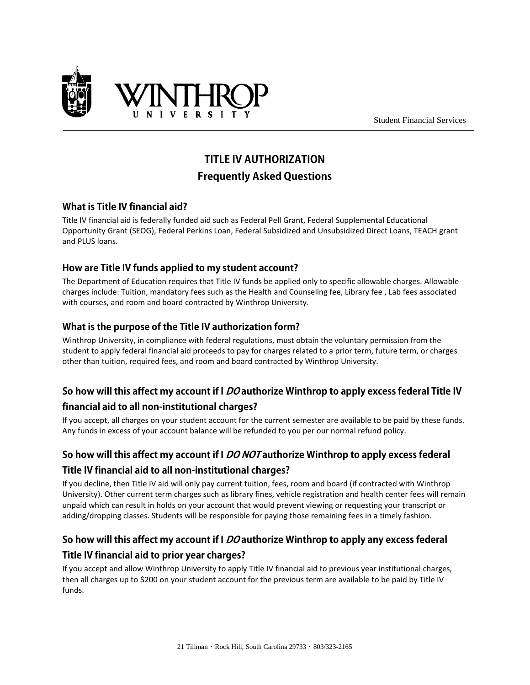



## **Frequently Asked Questions**

### **What is Title IV financial aid?**

Title IV financial aid is federally funded aid such as Federal Pell Grant, Federal Supplemental Educational Opportunity Grant (SEOG), Federal Perkins Loan, Federal Subsidized and Unsubsidized Direct Loans, TEACH grant and PLUS loans.

### **How are Title IV funds applied to my student account?**

The Department of Education requires that Title IV funds be applied only to specific allowable charges. Allowable charges include: Tuition, mandatory fees such as the Health and Counseling fee, Library fee , Lab fees associated with courses, and room and board contracted by Winthrop University.

### **What is the purpose of the Title IV authorization form?**

Winthrop University, in compliance with federal regulations, must obtain the voluntary permission from the student to apply federal financial aid proceeds to pay for charges related to a prior term, future term, or charges other than tuition, required fees, and room and board contracted by Winthrop University.

## **So how will this affect my account if I DO authorize Winthrop to apply excess federal Title IV financial aid to all non-institutional charges?**

If you accept, all charges on your student account for the current semester are available to be paid by these funds. Any funds in excess of your account balance will be refunded to you per our normal refund policy.

## **So how will this affect my account if I DO NOT authorize Winthrop to apply excess federal**

### **Title IV financial aid to all non-institutional charges?**

If you decline, then Title IV aid will only pay current tuition, fees, room and board (if contracted with Winthrop University). Other current term charges such as library fines, vehicle registration and health center fees will remain unpaid which can result in holds on your account that would prevent viewing or requesting your transcript or adding/dropping classes. Students will be responsible for paying those remaining fees in a timely fashion.

# **So how will this affect my account if I DO authorize Winthrop to apply any excess federal Title IV financial aid to prior year charges?**

If you accept and allow Winthrop University to apply Title IV financial aid to previous year institutional charges, then all charges up to \$200 on your student account for the previous term are available to be paid by Title IV funds.